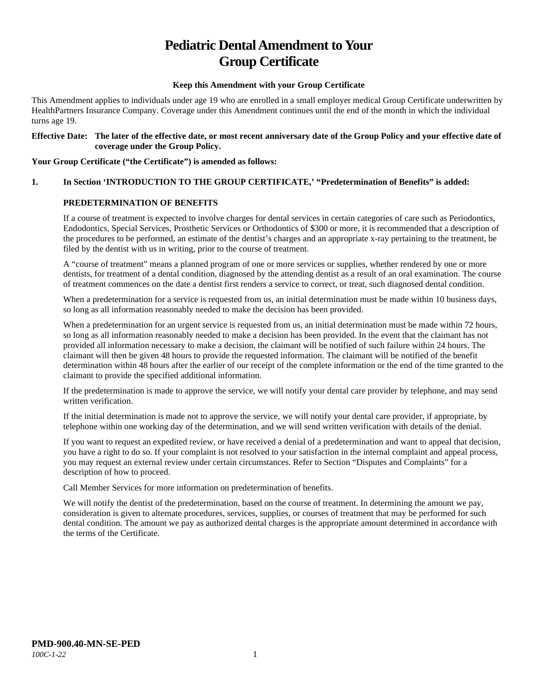# **Pediatric Dental Amendment to Your Group Certificate**

#### **Keep this Amendment with your Group Certificate**

This Amendment applies to individuals under age 19 who are enrolled in a small employer medical Group Certificate underwritten by HealthPartners Insurance Company. Coverage under this Amendment continues until the end of the month in which the individual turns age 19.

#### **Effective Date: The later of the effective date, or most recent anniversary date of the Group Policy and your effective date of coverage under the Group Policy.**

#### **Your Group Certificate ("the Certificate") is amended as follows:**

## **1. In Section 'INTRODUCTION TO THE GROUP CERTIFICATE,' "Predetermination of Benefits" is added:**

#### **PREDETERMINATION OF BENEFITS**

If a course of treatment is expected to involve charges for dental services in certain categories of care such as Periodontics, Endodontics, Special Services, Prosthetic Services or Orthodontics of \$300 or more, it is recommended that a description of the procedures to be performed, an estimate of the dentist's charges and an appropriate x-ray pertaining to the treatment, be filed by the dentist with us in writing, prior to the course of treatment.

A "course of treatment" means a planned program of one or more services or supplies, whether rendered by one or more dentists, for treatment of a dental condition, diagnosed by the attending dentist as a result of an oral examination. The course of treatment commences on the date a dentist first renders a service to correct, or treat, such diagnosed dental condition.

When a predetermination for a service is requested from us, an initial determination must be made within 10 business days, so long as all information reasonably needed to make the decision has been provided.

When a predetermination for an urgent service is requested from us, an initial determination must be made within 72 hours, so long as all information reasonably needed to make a decision has been provided. In the event that the claimant has not provided all information necessary to make a decision, the claimant will be notified of such failure within 24 hours. The claimant will then be given 48 hours to provide the requested information. The claimant will be notified of the benefit determination within 48 hours after the earlier of our receipt of the complete information or the end of the time granted to the claimant to provide the specified additional information.

If the predetermination is made to approve the service, we will notify your dental care provider by telephone, and may send written verification.

If the initial determination is made not to approve the service, we will notify your dental care provider, if appropriate, by telephone within one working day of the determination, and we will send written verification with details of the denial.

If you want to request an expedited review, or have received a denial of a predetermination and want to appeal that decision, you have a right to do so. If your complaint is not resolved to your satisfaction in the internal complaint and appeal process, you may request an external review under certain circumstances. Refer to Section "Disputes and Complaints" for a description of how to proceed.

Call Member Services for more information on predetermination of benefits.

We will notify the dentist of the predetermination, based on the course of treatment. In determining the amount we pay, consideration is given to alternate procedures, services, supplies, or courses of treatment that may be performed for such dental condition. The amount we pay as authorized dental charges is the appropriate amount determined in accordance with the terms of the Certificate.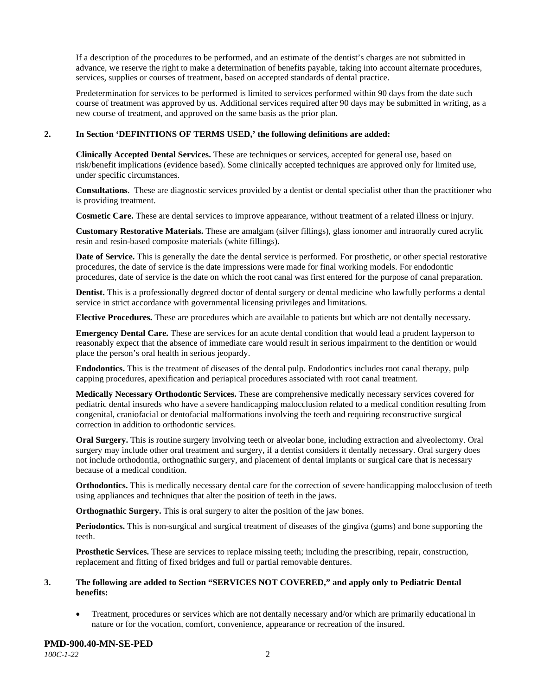If a description of the procedures to be performed, and an estimate of the dentist's charges are not submitted in advance, we reserve the right to make a determination of benefits payable, taking into account alternate procedures, services, supplies or courses of treatment, based on accepted standards of dental practice.

Predetermination for services to be performed is limited to services performed within 90 days from the date such course of treatment was approved by us. Additional services required after 90 days may be submitted in writing, as a new course of treatment, and approved on the same basis as the prior plan.

#### **2. In Section 'DEFINITIONS OF TERMS USED,' the following definitions are added:**

**Clinically Accepted Dental Services.** These are techniques or services, accepted for general use, based on risk/benefit implications (evidence based). Some clinically accepted techniques are approved only for limited use, under specific circumstances.

**Consultations**. These are diagnostic services provided by a dentist or dental specialist other than the practitioner who is providing treatment.

**Cosmetic Care.** These are dental services to improve appearance, without treatment of a related illness or injury.

**Customary Restorative Materials.** These are amalgam (silver fillings), glass ionomer and intraorally cured acrylic resin and resin-based composite materials (white fillings).

**Date of Service.** This is generally the date the dental service is performed. For prosthetic, or other special restorative procedures, the date of service is the date impressions were made for final working models. For endodontic procedures, date of service is the date on which the root canal was first entered for the purpose of canal preparation.

**Dentist.** This is a professionally degreed doctor of dental surgery or dental medicine who lawfully performs a dental service in strict accordance with governmental licensing privileges and limitations.

**Elective Procedures.** These are procedures which are available to patients but which are not dentally necessary.

**Emergency Dental Care.** These are services for an acute dental condition that would lead a prudent layperson to reasonably expect that the absence of immediate care would result in serious impairment to the dentition or would place the person's oral health in serious jeopardy.

**Endodontics.** This is the treatment of diseases of the dental pulp. Endodontics includes root canal therapy, pulp capping procedures, apexification and periapical procedures associated with root canal treatment.

**Medically Necessary Orthodontic Services.** These are comprehensive medically necessary services covered for pediatric dental insureds who have a severe handicapping malocclusion related to a medical condition resulting from congenital, craniofacial or dentofacial malformations involving the teeth and requiring reconstructive surgical correction in addition to orthodontic services.

**Oral Surgery.** This is routine surgery involving teeth or alveolar bone, including extraction and alveolectomy. Oral surgery may include other oral treatment and surgery, if a dentist considers it dentally necessary. Oral surgery does not include orthodontia, orthognathic surgery, and placement of dental implants or surgical care that is necessary because of a medical condition.

**Orthodontics.** This is medically necessary dental care for the correction of severe handicapping malocclusion of teeth using appliances and techniques that alter the position of teeth in the jaws.

**Orthognathic Surgery.** This is oral surgery to alter the position of the jaw bones.

**Periodontics.** This is non-surgical and surgical treatment of diseases of the gingiva (gums) and bone supporting the teeth.

**Prosthetic Services.** These are services to replace missing teeth; including the prescribing, repair, construction, replacement and fitting of fixed bridges and full or partial removable dentures.

#### **3. The following are added to Section "SERVICES NOT COVERED," and apply only to Pediatric Dental benefits:**

• Treatment, procedures or services which are not dentally necessary and/or which are primarily educational in nature or for the vocation, comfort, convenience, appearance or recreation of the insured.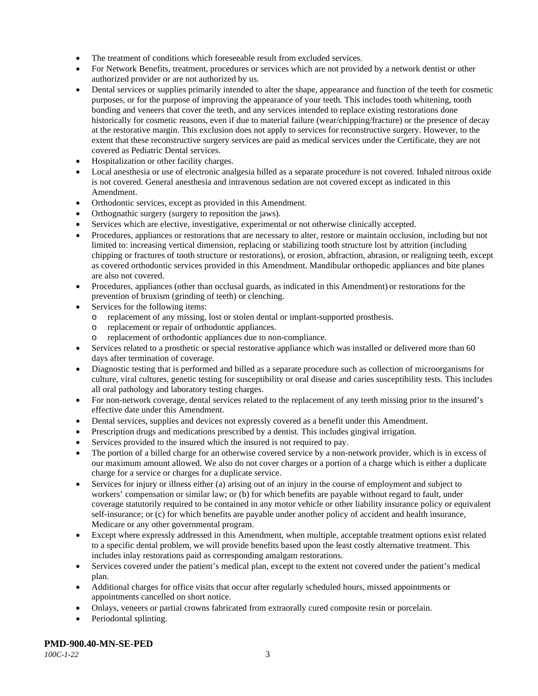- The treatment of conditions which foreseeable result from excluded services.
- For Network Benefits, treatment, procedures or services which are not provided by a network dentist or other authorized provider or are not authorized by us.
- Dental services or supplies primarily intended to alter the shape, appearance and function of the teeth for cosmetic purposes, or for the purpose of improving the appearance of your teeth. This includes tooth whitening, tooth bonding and veneers that cover the teeth, and any services intended to replace existing restorations done historically for cosmetic reasons, even if due to material failure (wear/chipping/fracture) or the presence of decay at the restorative margin. This exclusion does not apply to services for reconstructive surgery. However, to the extent that these reconstructive surgery services are paid as medical services under the Certificate, they are not covered as Pediatric Dental services.
- Hospitalization or other facility charges.
- Local anesthesia or use of electronic analgesia billed as a separate procedure is not covered. Inhaled nitrous oxide is not covered. General anesthesia and intravenous sedation are not covered except as indicated in this Amendment.
- Orthodontic services, except as provided in this Amendment.
- Orthognathic surgery (surgery to reposition the jaws).
- Services which are elective, investigative, experimental or not otherwise clinically accepted.
- Procedures, appliances or restorations that are necessary to alter, restore or maintain occlusion, including but not limited to: increasing vertical dimension, replacing or stabilizing tooth structure lost by attrition (including chipping or fractures of tooth structure or restorations), or erosion, abfraction, abrasion, or realigning teeth, except as covered orthodontic services provided in this Amendment. Mandibular orthopedic appliances and bite planes are also not covered.
- Procedures, appliances (other than occlusal guards, as indicated in this Amendment) or restorations for the prevention of bruxism (grinding of teeth) or clenching.
- Services for the following items:
	- o replacement of any missing, lost or stolen dental or implant-supported prosthesis.
	- o replacement or repair of orthodontic appliances.
	- replacement of orthodontic appliances due to non-compliance.
- Services related to a prosthetic or special restorative appliance which was installed or delivered more than 60 days after termination of coverage.
- Diagnostic testing that is performed and billed as a separate procedure such as collection of microorganisms for culture, viral cultures, genetic testing for susceptibility or oral disease and caries susceptibility tests. This includes all oral pathology and laboratory testing charges.
- For non-network coverage, dental services related to the replacement of any teeth missing prior to the insured's effective date under this Amendment.
- Dental services, supplies and devices not expressly covered as a benefit under this Amendment.
- Prescription drugs and medications prescribed by a dentist. This includes gingival irrigation.
- Services provided to the insured which the insured is not required to pay.
- The portion of a billed charge for an otherwise covered service by a non-network provider, which is in excess of our maximum amount allowed. We also do not cover charges or a portion of a charge which is either a duplicate charge for a service or charges for a duplicate service.
- Services for injury or illness either (a) arising out of an injury in the course of employment and subject to workers' compensation or similar law; or (b) for which benefits are payable without regard to fault, under coverage statutorily required to be contained in any motor vehicle or other liability insurance policy or equivalent self-insurance; or (c) for which benefits are payable under another policy of accident and health insurance, Medicare or any other governmental program.
- Except where expressly addressed in this Amendment, when multiple, acceptable treatment options exist related to a specific dental problem, we will provide benefits based upon the least costly alternative treatment. This includes inlay restorations paid as corresponding amalgam restorations.
- Services covered under the patient's medical plan, except to the extent not covered under the patient's medical plan.
- Additional charges for office visits that occur after regularly scheduled hours, missed appointments or appointments cancelled on short notice.
- Onlays, veneers or partial crowns fabricated from extraorally cured composite resin or porcelain.
- Periodontal splinting.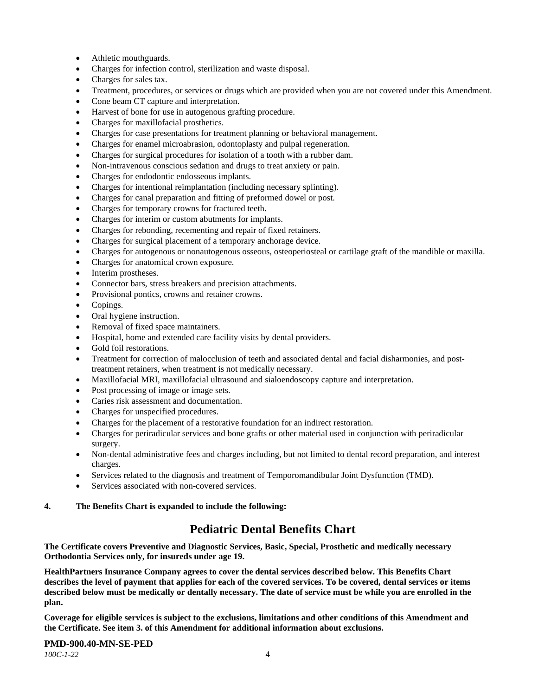- Athletic mouthguards.
- Charges for infection control, sterilization and waste disposal.
- Charges for sales tax.
- Treatment, procedures, or services or drugs which are provided when you are not covered under this Amendment.
- Cone beam CT capture and interpretation.
- Harvest of bone for use in autogenous grafting procedure.
- Charges for maxillofacial prosthetics.
- Charges for case presentations for treatment planning or behavioral management.
- Charges for enamel microabrasion, odontoplasty and pulpal regeneration.
- Charges for surgical procedures for isolation of a tooth with a rubber dam.
- Non-intravenous conscious sedation and drugs to treat anxiety or pain.
- Charges for endodontic endosseous implants.
- Charges for intentional reimplantation (including necessary splinting).
- Charges for canal preparation and fitting of preformed dowel or post.
- Charges for temporary crowns for fractured teeth.
- Charges for interim or custom abutments for implants.
- Charges for rebonding, recementing and repair of fixed retainers.
- Charges for surgical placement of a temporary anchorage device.
- Charges for autogenous or nonautogenous osseous, osteoperiosteal or cartilage graft of the mandible or maxilla.
- Charges for anatomical crown exposure.
- Interim prostheses.
- Connector bars, stress breakers and precision attachments.
- Provisional pontics, crowns and retainer crowns.
- Copings.
- Oral hygiene instruction.
- Removal of fixed space maintainers.
- Hospital, home and extended care facility visits by dental providers.
- Gold foil restorations.
- Treatment for correction of malocclusion of teeth and associated dental and facial disharmonies, and posttreatment retainers, when treatment is not medically necessary.
- Maxillofacial MRI, maxillofacial ultrasound and sialoendoscopy capture and interpretation.
- Post processing of image or image sets.
- Caries risk assessment and documentation.
- Charges for unspecified procedures.
- Charges for the placement of a restorative foundation for an indirect restoration.
- Charges for periradicular services and bone grafts or other material used in conjunction with periradicular surgery.
- Non-dental administrative fees and charges including, but not limited to dental record preparation, and interest charges.
- Services related to the diagnosis and treatment of Temporomandibular Joint Dysfunction (TMD).
- Services associated with non-covered services.

#### **4. The Benefits Chart is expanded to include the following:**

## **Pediatric Dental Benefits Chart**

**The Certificate covers Preventive and Diagnostic Services, Basic, Special, Prosthetic and medically necessary Orthodontia Services only, for insureds under age 19.**

**HealthPartners Insurance Company agrees to cover the dental services described below. This Benefits Chart describes the level of payment that applies for each of the covered services. To be covered, dental services or items described below must be medically or dentally necessary. The date of service must be while you are enrolled in the plan.**

**Coverage for eligible services is subject to the exclusions, limitations and other conditions of this Amendment and the Certificate. See item 3. of this Amendment for additional information about exclusions.**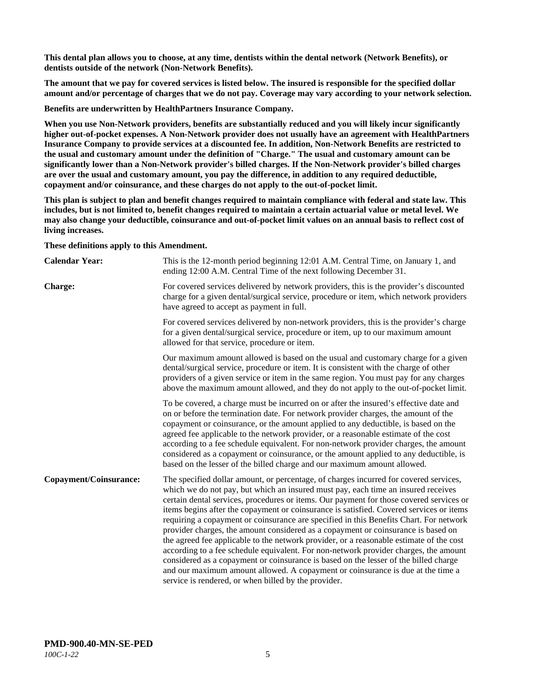**This dental plan allows you to choose, at any time, dentists within the dental network (Network Benefits), or dentists outside of the network (Non-Network Benefits).**

**The amount that we pay for covered services is listed below. The insured is responsible for the specified dollar amount and/or percentage of charges that we do not pay. Coverage may vary according to your network selection.**

**Benefits are underwritten by HealthPartners Insurance Company.**

**When you use Non-Network providers, benefits are substantially reduced and you will likely incur significantly higher out-of-pocket expenses. A Non-Network provider does not usually have an agreement with HealthPartners Insurance Company to provide services at a discounted fee. In addition, Non-Network Benefits are restricted to the usual and customary amount under the definition of "Charge." The usual and customary amount can be significantly lower than a Non-Network provider's billed charges. If the Non-Network provider's billed charges are over the usual and customary amount, you pay the difference, in addition to any required deductible, copayment and/or coinsurance, and these charges do not apply to the out-of-pocket limit.**

**This plan is subject to plan and benefit changes required to maintain compliance with federal and state law. This includes, but is not limited to, benefit changes required to maintain a certain actuarial value or metal level. We may also change your deductible, coinsurance and out-of-pocket limit values on an annual basis to reflect cost of living increases.**

**These definitions apply to this Amendment.**

| <b>Calendar Year:</b>  | This is the 12-month period beginning 12:01 A.M. Central Time, on January 1, and<br>ending 12:00 A.M. Central Time of the next following December 31.                                                                                                                                                                                                                                                                                                                                                                                                                                                                                                                                                                                                                                                                                                                                                                                                                 |
|------------------------|-----------------------------------------------------------------------------------------------------------------------------------------------------------------------------------------------------------------------------------------------------------------------------------------------------------------------------------------------------------------------------------------------------------------------------------------------------------------------------------------------------------------------------------------------------------------------------------------------------------------------------------------------------------------------------------------------------------------------------------------------------------------------------------------------------------------------------------------------------------------------------------------------------------------------------------------------------------------------|
| <b>Charge:</b>         | For covered services delivered by network providers, this is the provider's discounted<br>charge for a given dental/surgical service, procedure or item, which network providers<br>have agreed to accept as payment in full.                                                                                                                                                                                                                                                                                                                                                                                                                                                                                                                                                                                                                                                                                                                                         |
|                        | For covered services delivered by non-network providers, this is the provider's charge<br>for a given dental/surgical service, procedure or item, up to our maximum amount<br>allowed for that service, procedure or item.                                                                                                                                                                                                                                                                                                                                                                                                                                                                                                                                                                                                                                                                                                                                            |
|                        | Our maximum amount allowed is based on the usual and customary charge for a given<br>dental/surgical service, procedure or item. It is consistent with the charge of other<br>providers of a given service or item in the same region. You must pay for any charges<br>above the maximum amount allowed, and they do not apply to the out-of-pocket limit.                                                                                                                                                                                                                                                                                                                                                                                                                                                                                                                                                                                                            |
|                        | To be covered, a charge must be incurred on or after the insured's effective date and<br>on or before the termination date. For network provider charges, the amount of the<br>copayment or coinsurance, or the amount applied to any deductible, is based on the<br>agreed fee applicable to the network provider, or a reasonable estimate of the cost<br>according to a fee schedule equivalent. For non-network provider charges, the amount<br>considered as a copayment or coinsurance, or the amount applied to any deductible, is<br>based on the lesser of the billed charge and our maximum amount allowed.                                                                                                                                                                                                                                                                                                                                                 |
| Copayment/Coinsurance: | The specified dollar amount, or percentage, of charges incurred for covered services,<br>which we do not pay, but which an insured must pay, each time an insured receives<br>certain dental services, procedures or items. Our payment for those covered services or<br>items begins after the copayment or coinsurance is satisfied. Covered services or items<br>requiring a copayment or coinsurance are specified in this Benefits Chart. For network<br>provider charges, the amount considered as a copayment or coinsurance is based on<br>the agreed fee applicable to the network provider, or a reasonable estimate of the cost<br>according to a fee schedule equivalent. For non-network provider charges, the amount<br>considered as a copayment or coinsurance is based on the lesser of the billed charge<br>and our maximum amount allowed. A copayment or coinsurance is due at the time a<br>service is rendered, or when billed by the provider. |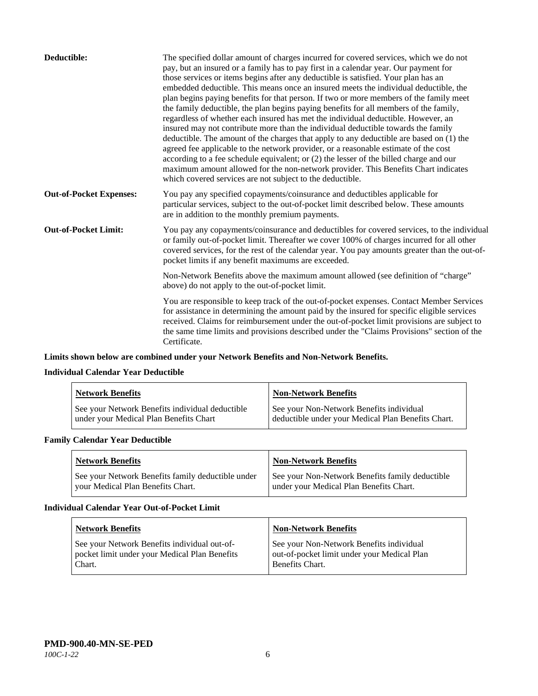| Deductible:                    | The specified dollar amount of charges incurred for covered services, which we do not<br>pay, but an insured or a family has to pay first in a calendar year. Our payment for<br>those services or items begins after any deductible is satisfied. Your plan has an<br>embedded deductible. This means once an insured meets the individual deductible, the<br>plan begins paying benefits for that person. If two or more members of the family meet<br>the family deductible, the plan begins paying benefits for all members of the family,<br>regardless of whether each insured has met the individual deductible. However, an<br>insured may not contribute more than the individual deductible towards the family<br>deductible. The amount of the charges that apply to any deductible are based on (1) the<br>agreed fee applicable to the network provider, or a reasonable estimate of the cost<br>according to a fee schedule equivalent; or (2) the lesser of the billed charge and our<br>maximum amount allowed for the non-network provider. This Benefits Chart indicates<br>which covered services are not subject to the deductible. |
|--------------------------------|---------------------------------------------------------------------------------------------------------------------------------------------------------------------------------------------------------------------------------------------------------------------------------------------------------------------------------------------------------------------------------------------------------------------------------------------------------------------------------------------------------------------------------------------------------------------------------------------------------------------------------------------------------------------------------------------------------------------------------------------------------------------------------------------------------------------------------------------------------------------------------------------------------------------------------------------------------------------------------------------------------------------------------------------------------------------------------------------------------------------------------------------------------|
| <b>Out-of-Pocket Expenses:</b> | You pay any specified copayments/coinsurance and deductibles applicable for<br>particular services, subject to the out-of-pocket limit described below. These amounts<br>are in addition to the monthly premium payments.                                                                                                                                                                                                                                                                                                                                                                                                                                                                                                                                                                                                                                                                                                                                                                                                                                                                                                                               |
| <b>Out-of-Pocket Limit:</b>    | You pay any copayments/coinsurance and deductibles for covered services, to the individual<br>or family out-of-pocket limit. Thereafter we cover 100% of charges incurred for all other<br>covered services, for the rest of the calendar year. You pay amounts greater than the out-of-<br>pocket limits if any benefit maximums are exceeded.                                                                                                                                                                                                                                                                                                                                                                                                                                                                                                                                                                                                                                                                                                                                                                                                         |
|                                | Non-Network Benefits above the maximum amount allowed (see definition of "charge"<br>above) do not apply to the out-of-pocket limit.                                                                                                                                                                                                                                                                                                                                                                                                                                                                                                                                                                                                                                                                                                                                                                                                                                                                                                                                                                                                                    |
|                                | You are responsible to keep track of the out-of-pocket expenses. Contact Member Services<br>for assistance in determining the amount paid by the insured for specific eligible services<br>received. Claims for reimbursement under the out-of-pocket limit provisions are subject to<br>the same time limits and provisions described under the "Claims Provisions" section of the<br>Certificate.                                                                                                                                                                                                                                                                                                                                                                                                                                                                                                                                                                                                                                                                                                                                                     |

## **Limits shown below are combined under your Network Benefits and Non-Network Benefits.**

## **Individual Calendar Year Deductible**

| <b>Network Benefits</b>                                                                   | <b>Non-Network Benefits</b>                                                                    |
|-------------------------------------------------------------------------------------------|------------------------------------------------------------------------------------------------|
| See your Network Benefits individual deductible<br>under your Medical Plan Benefits Chart | See your Non-Network Benefits individual<br>deductible under your Medical Plan Benefits Chart. |

## **Family Calendar Year Deductible**

| <b>Network Benefits</b>                                                                | <b>Non-Network Benefits</b>                                                                |
|----------------------------------------------------------------------------------------|--------------------------------------------------------------------------------------------|
| See your Network Benefits family deductible under<br>vour Medical Plan Benefits Chart. | See your Non-Network Benefits family deductible<br>under your Medical Plan Benefits Chart. |

#### **Individual Calendar Year Out-of-Pocket Limit**

| <b>Network Benefits</b>                                                                                 | <b>Non-Network Benefits</b>                                                                                |
|---------------------------------------------------------------------------------------------------------|------------------------------------------------------------------------------------------------------------|
| See your Network Benefits individual out-of-<br>pocket limit under your Medical Plan Benefits<br>Chart. | See your Non-Network Benefits individual<br>out-of-pocket limit under your Medical Plan<br>Benefits Chart. |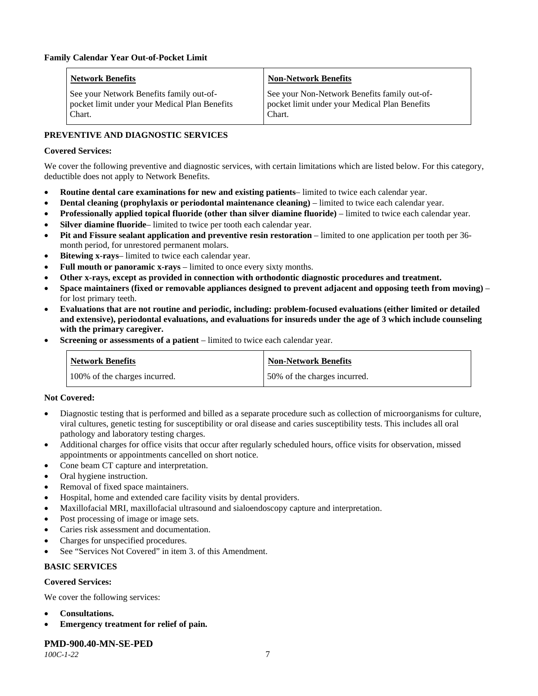| <b>Network Benefits</b>                       | <b>Non-Network Benefits</b>                   |
|-----------------------------------------------|-----------------------------------------------|
| See your Network Benefits family out-of-      | See your Non-Network Benefits family out-of-  |
| pocket limit under your Medical Plan Benefits | pocket limit under your Medical Plan Benefits |
| Chart.                                        | Chart.                                        |

## **PREVENTIVE AND DIAGNOSTIC SERVICES**

## **Covered Services:**

We cover the following preventive and diagnostic services, with certain limitations which are listed below. For this category, deductible does not apply to Network Benefits.

- **Routine dental care examinations for new and existing patients** limited to twice each calendar year.
- **Dental cleaning (prophylaxis or periodontal maintenance cleaning)** limited to twice each calendar year.
- **Professionally applied topical fluoride (other than silver diamine fluoride)** limited to twice each calendar year.
- **Silver diamine fluoride** limited to twice per tooth each calendar year.
- **Pit and Fissure sealant application and preventive resin restoration** limited to one application per tooth per 36 month period, for unrestored permanent molars.
- Bitewing x-rays- limited to twice each calendar year.
- **Full mouth or panoramic x-rays** limited to once every sixty months.
- **Other x-rays, except as provided in connection with orthodontic diagnostic procedures and treatment.**
- **Space maintainers (fixed or removable appliances designed to prevent adjacent and opposing teeth from moving)** for lost primary teeth.
- **Evaluations that are not routine and periodic, including: problem-focused evaluations (either limited or detailed and extensive), periodontal evaluations, and evaluations for insureds under the age of 3 which include counseling with the primary caregiver.**
- **Screening or assessments of a patient** limited to twice each calendar year.

| <b>Network Benefits</b>       | <b>Non-Network Benefits</b>  |
|-------------------------------|------------------------------|
| 100% of the charges incurred. | 50% of the charges incurred. |

#### **Not Covered:**

- Diagnostic testing that is performed and billed as a separate procedure such as collection of microorganisms for culture, viral cultures, genetic testing for susceptibility or oral disease and caries susceptibility tests. This includes all oral pathology and laboratory testing charges.
- Additional charges for office visits that occur after regularly scheduled hours, office visits for observation, missed appointments or appointments cancelled on short notice.
- Cone beam CT capture and interpretation.
- Oral hygiene instruction.
- Removal of fixed space maintainers.
- Hospital, home and extended care facility visits by dental providers.
- Maxillofacial MRI, maxillofacial ultrasound and sialoendoscopy capture and interpretation.
- Post processing of image or image sets.
- Caries risk assessment and documentation.
- Charges for unspecified procedures.
- See "Services Not Covered" in item 3. of this Amendment.

### **BASIC SERVICES**

#### **Covered Services:**

We cover the following services:

- **Consultations.**
- **Emergency treatment for relief of pain.**

**PMD-900.40-MN-SE-PED**

*100C-1-22* 7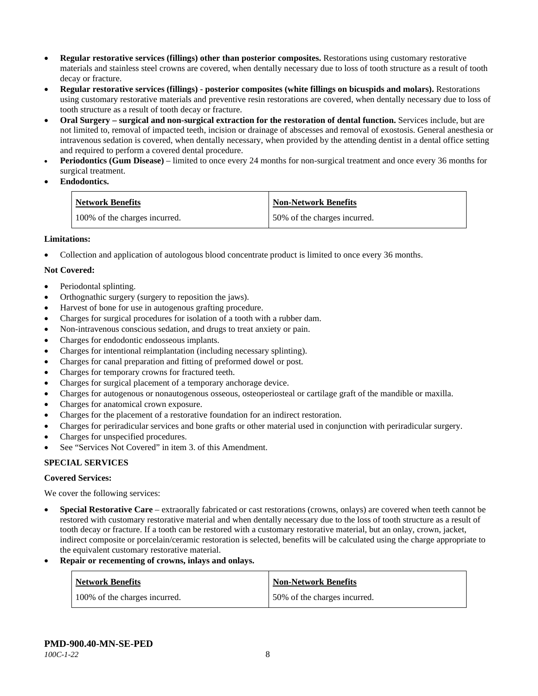- **Regular restorative services (fillings) other than posterior composites.** Restorations using customary restorative materials and stainless steel crowns are covered, when dentally necessary due to loss of tooth structure as a result of tooth decay or fracture.
- **Regular restorative services (fillings) - posterior composites (white fillings on bicuspids and molars).** Restorations using customary restorative materials and preventive resin restorations are covered, when dentally necessary due to loss of tooth structure as a result of tooth decay or fracture.
- **Oral Surgery – surgical and non-surgical extraction for the restoration of dental function.** Services include, but are not limited to, removal of impacted teeth, incision or drainage of abscesses and removal of exostosis. General anesthesia or intravenous sedation is covered, when dentally necessary, when provided by the attending dentist in a dental office setting and required to perform a covered dental procedure.
- **Periodontics (Gum Disease)** limited to once every 24 months for non-surgical treatment and once every 36 months for surgical treatment.
- **Endodontics.**

| <b>Network Benefits</b>       | Non-Network Benefits         |
|-------------------------------|------------------------------|
| 100% of the charges incurred. | 50% of the charges incurred. |

## **Limitations:**

• Collection and application of autologous blood concentrate product is limited to once every 36 months.

## **Not Covered:**

- Periodontal splinting.
- Orthognathic surgery (surgery to reposition the jaws).
- Harvest of bone for use in autogenous grafting procedure.
- Charges for surgical procedures for isolation of a tooth with a rubber dam.
- Non-intravenous conscious sedation, and drugs to treat anxiety or pain.
- Charges for endodontic endosseous implants.
- Charges for intentional reimplantation (including necessary splinting).
- Charges for canal preparation and fitting of preformed dowel or post.
- Charges for temporary crowns for fractured teeth.
- Charges for surgical placement of a temporary anchorage device.
- Charges for autogenous or nonautogenous osseous, osteoperiosteal or cartilage graft of the mandible or maxilla.
- Charges for anatomical crown exposure.
- Charges for the placement of a restorative foundation for an indirect restoration.
- Charges for periradicular services and bone grafts or other material used in conjunction with periradicular surgery.
- Charges for unspecified procedures.
- See "Services Not Covered" in item 3. of this Amendment.

## **SPECIAL SERVICES**

#### **Covered Services:**

We cover the following services:

- **Special Restorative Care** extraorally fabricated or cast restorations (crowns, onlays) are covered when teeth cannot be restored with customary restorative material and when dentally necessary due to the loss of tooth structure as a result of tooth decay or fracture. If a tooth can be restored with a customary restorative material, but an onlay, crown, jacket, indirect composite or porcelain/ceramic restoration is selected, benefits will be calculated using the charge appropriate to the equivalent customary restorative material.
- **Repair or recementing of crowns, inlays and onlays.**

| <b>Network Benefits</b>       | <b>Non-Network Benefits</b>  |
|-------------------------------|------------------------------|
| 100% of the charges incurred. | 50% of the charges incurred. |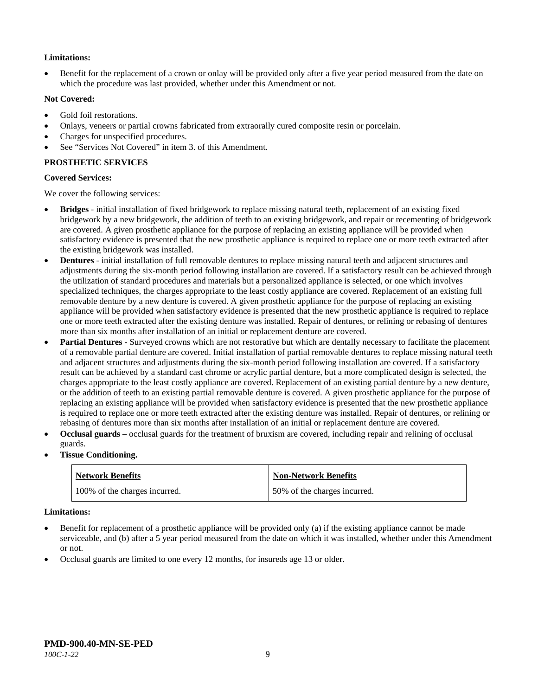## **Limitations:**

• Benefit for the replacement of a crown or onlay will be provided only after a five year period measured from the date on which the procedure was last provided, whether under this Amendment or not.

### **Not Covered:**

- Gold foil restorations.
- Onlays, veneers or partial crowns fabricated from extraorally cured composite resin or porcelain.
- Charges for unspecified procedures.
- See "Services Not Covered" in item 3. of this Amendment.

## **PROSTHETIC SERVICES**

#### **Covered Services:**

We cover the following services:

- **Bridges** initial installation of fixed bridgework to replace missing natural teeth, replacement of an existing fixed bridgework by a new bridgework, the addition of teeth to an existing bridgework, and repair or recementing of bridgework are covered. A given prosthetic appliance for the purpose of replacing an existing appliance will be provided when satisfactory evidence is presented that the new prosthetic appliance is required to replace one or more teeth extracted after the existing bridgework was installed.
- **Dentures** initial installation of full removable dentures to replace missing natural teeth and adjacent structures and adjustments during the six-month period following installation are covered. If a satisfactory result can be achieved through the utilization of standard procedures and materials but a personalized appliance is selected, or one which involves specialized techniques, the charges appropriate to the least costly appliance are covered. Replacement of an existing full removable denture by a new denture is covered. A given prosthetic appliance for the purpose of replacing an existing appliance will be provided when satisfactory evidence is presented that the new prosthetic appliance is required to replace one or more teeth extracted after the existing denture was installed. Repair of dentures, or relining or rebasing of dentures more than six months after installation of an initial or replacement denture are covered.
- **Partial Dentures** Surveyed crowns which are not restorative but which are dentally necessary to facilitate the placement of a removable partial denture are covered. Initial installation of partial removable dentures to replace missing natural teeth and adjacent structures and adjustments during the six-month period following installation are covered. If a satisfactory result can be achieved by a standard cast chrome or acrylic partial denture, but a more complicated design is selected, the charges appropriate to the least costly appliance are covered. Replacement of an existing partial denture by a new denture, or the addition of teeth to an existing partial removable denture is covered. A given prosthetic appliance for the purpose of replacing an existing appliance will be provided when satisfactory evidence is presented that the new prosthetic appliance is required to replace one or more teeth extracted after the existing denture was installed. Repair of dentures, or relining or rebasing of dentures more than six months after installation of an initial or replacement denture are covered.
- **Occlusal guards** occlusal guards for the treatment of bruxism are covered, including repair and relining of occlusal guards.
- **Tissue Conditioning.**

| <b>Network Benefits</b>       | <b>Non-Network Benefits</b>  |
|-------------------------------|------------------------------|
| 100% of the charges incurred. | 50% of the charges incurred. |

#### **Limitations:**

- Benefit for replacement of a prosthetic appliance will be provided only (a) if the existing appliance cannot be made serviceable, and (b) after a 5 year period measured from the date on which it was installed, whether under this Amendment or not.
- Occlusal guards are limited to one every 12 months, for insureds age 13 or older.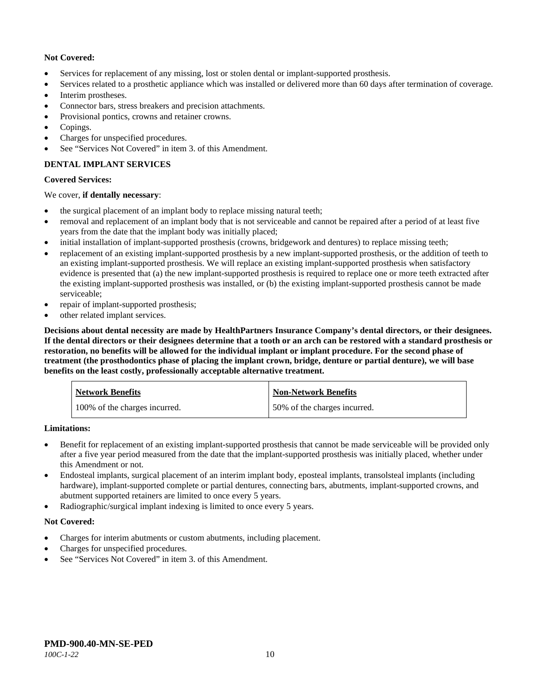## **Not Covered:**

- Services for replacement of any missing, lost or stolen dental or implant-supported prosthesis.
- Services related to a prosthetic appliance which was installed or delivered more than 60 days after termination of coverage.
- Interim prostheses.
- Connector bars, stress breakers and precision attachments.
- Provisional pontics, crowns and retainer crowns.
- Copings.
- Charges for unspecified procedures.
- See "Services Not Covered" in item 3. of this Amendment.

## **DENTAL IMPLANT SERVICES**

## **Covered Services:**

## We cover, **if dentally necessary**:

- the surgical placement of an implant body to replace missing natural teeth;
- removal and replacement of an implant body that is not serviceable and cannot be repaired after a period of at least five years from the date that the implant body was initially placed;
- initial installation of implant-supported prosthesis (crowns, bridgework and dentures) to replace missing teeth;
- replacement of an existing implant-supported prosthesis by a new implant-supported prosthesis, or the addition of teeth to an existing implant-supported prosthesis. We will replace an existing implant-supported prosthesis when satisfactory evidence is presented that (a) the new implant-supported prosthesis is required to replace one or more teeth extracted after the existing implant-supported prosthesis was installed, or (b) the existing implant-supported prosthesis cannot be made serviceable;
- repair of implant-supported prosthesis;
- other related implant services.

**Decisions about dental necessity are made by HealthPartners Insurance Company's dental directors, or their designees. If the dental directors or their designees determine that a tooth or an arch can be restored with a standard prosthesis or restoration, no benefits will be allowed for the individual implant or implant procedure. For the second phase of treatment (the prosthodontics phase of placing the implant crown, bridge, denture or partial denture), we will base benefits on the least costly, professionally acceptable alternative treatment.**

| <b>Network Benefits</b>       | <b>Non-Network Benefits</b>  |
|-------------------------------|------------------------------|
| 100% of the charges incurred. | 50% of the charges incurred. |

**Limitations:**

- Benefit for replacement of an existing implant-supported prosthesis that cannot be made serviceable will be provided only after a five year period measured from the date that the implant-supported prosthesis was initially placed, whether under this Amendment or not.
- Endosteal implants, surgical placement of an interim implant body, eposteal implants, transolsteal implants (including hardware), implant-supported complete or partial dentures, connecting bars, abutments, implant-supported crowns, and abutment supported retainers are limited to once every 5 years.
- Radiographic/surgical implant indexing is limited to once every 5 years.

## **Not Covered:**

- Charges for interim abutments or custom abutments, including placement.
- Charges for unspecified procedures.
- See "Services Not Covered" in item 3. of this Amendment.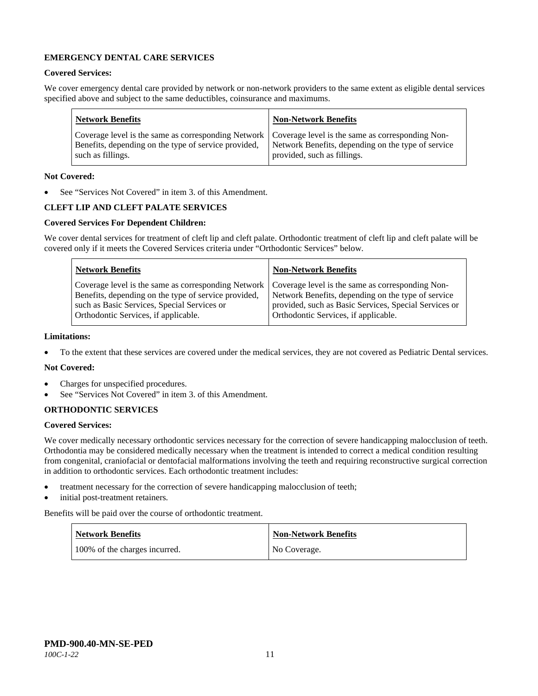## **EMERGENCY DENTAL CARE SERVICES**

#### **Covered Services:**

We cover emergency dental care provided by network or non-network providers to the same extent as eligible dental services specified above and subject to the same deductibles, coinsurance and maximums.

| <b>Network Benefits</b>                                                                                                                                                                                                                | <b>Non-Network Benefits</b> |
|----------------------------------------------------------------------------------------------------------------------------------------------------------------------------------------------------------------------------------------|-----------------------------|
| Coverage level is the same as corresponding Network   Coverage level is the same as corresponding Non-<br>Benefits, depending on the type of service provided, Network Benefits, depending on the type of service<br>such as fillings. | provided, such as fillings. |

## **Not Covered:**

See "Services Not Covered" in item 3. of this Amendment.

## **CLEFT LIP AND CLEFT PALATE SERVICES**

## **Covered Services For Dependent Children:**

We cover dental services for treatment of cleft lip and cleft palate. Orthodontic treatment of cleft lip and cleft palate will be covered only if it meets the Covered Services criteria under "Orthodontic Services" below.

| <b>Network Benefits</b>                                                                                                                                                                                                                               | <b>Non-Network Benefits</b>                                                                                                                         |
|-------------------------------------------------------------------------------------------------------------------------------------------------------------------------------------------------------------------------------------------------------|-----------------------------------------------------------------------------------------------------------------------------------------------------|
| Coverage level is the same as corresponding Network   Coverage level is the same as corresponding Non-<br>Benefits, depending on the type of service provided,<br>such as Basic Services, Special Services or<br>Orthodontic Services, if applicable. | Network Benefits, depending on the type of service<br>provided, such as Basic Services, Special Services or<br>Orthodontic Services, if applicable. |

#### **Limitations:**

• To the extent that these services are covered under the medical services, they are not covered as Pediatric Dental services.

#### **Not Covered:**

- Charges for unspecified procedures.
- See "Services Not Covered" in item 3. of this Amendment.

#### **ORTHODONTIC SERVICES**

#### **Covered Services:**

We cover medically necessary orthodontic services necessary for the correction of severe handicapping malocclusion of teeth. Orthodontia may be considered medically necessary when the treatment is intended to correct a medical condition resulting from congenital, craniofacial or dentofacial malformations involving the teeth and requiring reconstructive surgical correction in addition to orthodontic services. Each orthodontic treatment includes:

- treatment necessary for the correction of severe handicapping malocclusion of teeth;
- initial post-treatment retainers.

Benefits will be paid over the course of orthodontic treatment.

| <b>Network Benefits</b>       | Non-Network Benefits |
|-------------------------------|----------------------|
| 100% of the charges incurred. | No Coverage.         |